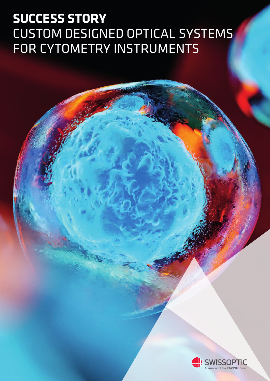# **SUCCESS STORY** CUSTOM DESIGNED OPTICAL SYSTEMS FOR CYTOMETRY INSTRUMENTS